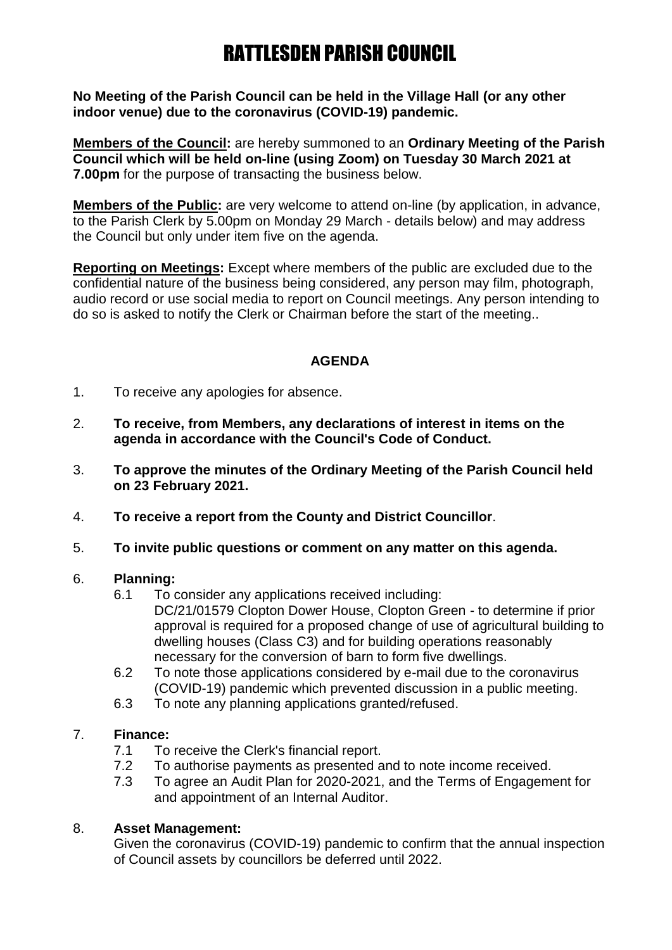**No Meeting of the Parish Council can be held in the Village Hall (or any other indoor venue) due to the coronavirus (COVID-19) pandemic.**

**Members of the Council:** are hereby summoned to an **Ordinary Meeting of the Parish Council which will be held on-line (using Zoom) on Tuesday 30 March 2021 at 7.00pm** for the purpose of transacting the business below.

**Members of the Public:** are very welcome to attend on-line (by application, in advance, to the Parish Clerk by 5.00pm on Monday 29 March - details below) and may address the Council but only under item five on the agenda.

**Reporting on Meetings:** Except where members of the public are excluded due to the confidential nature of the business being considered, any person may film, photograph, audio record or use social media to report on Council meetings. Any person intending to do so is asked to notify the Clerk or Chairman before the start of the meeting..

## **AGENDA**

- 1. To receive any apologies for absence.
- 2. **To receive, from Members, any declarations of interest in items on the agenda in accordance with the Council's Code of Conduct.**
- 3. **To approve the minutes of the Ordinary Meeting of the Parish Council held on 23 February 2021.**
- 4. **To receive a report from the County and District Councillor**.
- 5. **To invite public questions or comment on any matter on this agenda.**

## 6. **Planning:**

- 6.1 To consider any applications received including:
	- DC/21/01579 Clopton Dower House, Clopton Green to determine if prior approval is required for a proposed change of use of agricultural building to dwelling houses (Class C3) and for building operations reasonably necessary for the conversion of barn to form five dwellings.
- 6.2 To note those applications considered by e-mail due to the coronavirus (COVID-19) pandemic which prevented discussion in a public meeting.
- 6.3 To note any planning applications granted/refused.

## 7. **Finance:**

- 7.1 To receive the Clerk's financial report.
- 7.2 To authorise payments as presented and to note income received.
- 7.3 To agree an Audit Plan for 2020-2021, and the Terms of Engagement for and appointment of an Internal Auditor.

## 8. **Asset Management:**

Given the coronavirus (COVID-19) pandemic to confirm that the annual inspection of Council assets by councillors be deferred until 2022.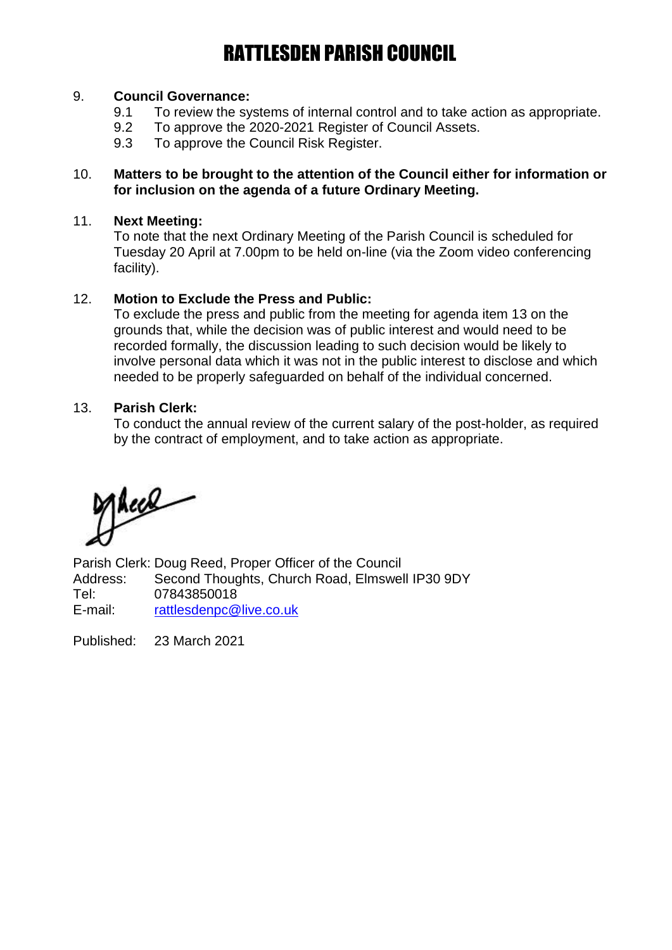### 9. **Council Governance:**

- 9.1 To review the systems of internal control and to take action as appropriate.
- 9.2 To approve the 2020-2021 Register of Council Assets.
- 9.3 To approve the Council Risk Register.

#### 10. **Matters to be brought to the attention of the Council either for information or for inclusion on the agenda of a future Ordinary Meeting.**

#### 11. **Next Meeting:**

To note that the next Ordinary Meeting of the Parish Council is scheduled for Tuesday 20 April at 7.00pm to be held on-line (via the Zoom video conferencing facility).

#### 12. **Motion to Exclude the Press and Public:**

To exclude the press and public from the meeting for agenda item 13 on the grounds that, while the decision was of public interest and would need to be recorded formally, the discussion leading to such decision would be likely to involve personal data which it was not in the public interest to disclose and which needed to be properly safeguarded on behalf of the individual concerned.

#### 13. **Parish Clerk:**

To conduct the annual review of the current salary of the post-holder, as required by the contract of employment, and to take action as appropriate.

Acce

Parish Clerk: Doug Reed, Proper Officer of the Council Address: Second Thoughts, Church Road, Elmswell IP30 9DY Tel: 07843850018<br>E-mail: rattlesdenpc@ [rattlesdenpc@live.co.uk](mailto:rattlesdenpc@live.co.uk)

Published: 23 March 2021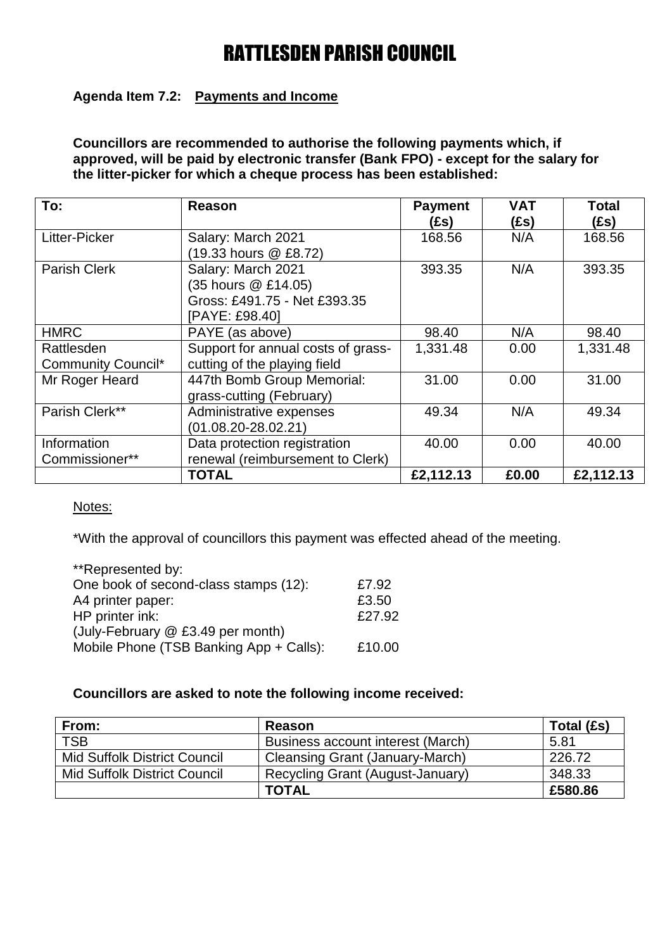## **Agenda Item 7.2: Payments and Income**

**Councillors are recommended to authorise the following payments which, if approved, will be paid by electronic transfer (Bank FPO) - except for the salary for the litter-picker for which a cheque process has been established:**

| To:                       | <b>Reason</b>                      | <b>Payment</b><br>(£s) | <b>VAT</b><br>(£s) | <b>Total</b><br>(fs) |
|---------------------------|------------------------------------|------------------------|--------------------|----------------------|
| <b>Litter-Picker</b>      | Salary: March 2021                 | 168.56                 | N/A                | 168.56               |
|                           | (19.33 hours @ £8.72)              |                        |                    |                      |
| <b>Parish Clerk</b>       | Salary: March 2021                 | 393.35                 | N/A                | 393.35               |
|                           | (35 hours @ £14.05)                |                        |                    |                      |
|                           | Gross: £491.75 - Net £393.35       |                        |                    |                      |
|                           | [PAYE: £98.40]                     |                        |                    |                      |
| <b>HMRC</b>               | PAYE (as above)                    | 98.40                  | N/A                | 98.40                |
| Rattlesden                | Support for annual costs of grass- | 1,331.48               | 0.00               | 1,331.48             |
| <b>Community Council*</b> | cutting of the playing field       |                        |                    |                      |
| Mr Roger Heard            | 447th Bomb Group Memorial:         | 31.00                  | 0.00               | 31.00                |
|                           | grass-cutting (February)           |                        |                    |                      |
| Parish Clerk**            | Administrative expenses            | 49.34                  | N/A                | 49.34                |
|                           | $(01.08.20 - 28.02.21)$            |                        |                    |                      |
| Information               | Data protection registration       | 40.00                  | 0.00               | 40.00                |
| Commissioner**            | renewal (reimbursement to Clerk)   |                        |                    |                      |
|                           | <b>TOTAL</b>                       | £2,112.13              | £0.00              | £2,112.13            |

### Notes:

\*With the approval of councillors this payment was effected ahead of the meeting.

| **Represented by:                       |        |
|-----------------------------------------|--------|
| One book of second-class stamps (12):   | £7.92  |
| A4 printer paper:                       | £3.50  |
| HP printer ink:                         | £27.92 |
| (July-February @ £3.49 per month)       |        |
| Mobile Phone (TSB Banking App + Calls): | £10.00 |

### **Councillors are asked to note the following income received:**

| From:                               | Reason                            | Total (£s) |
|-------------------------------------|-----------------------------------|------------|
| <b>TSB</b>                          | Business account interest (March) | 5.81       |
| <b>Mid Suffolk District Council</b> | Cleansing Grant (January-March)   | 226.72     |
| <b>Mid Suffolk District Council</b> | Recycling Grant (August-January)  | 348.33     |
|                                     | <b>TOTAL</b>                      | £580.86    |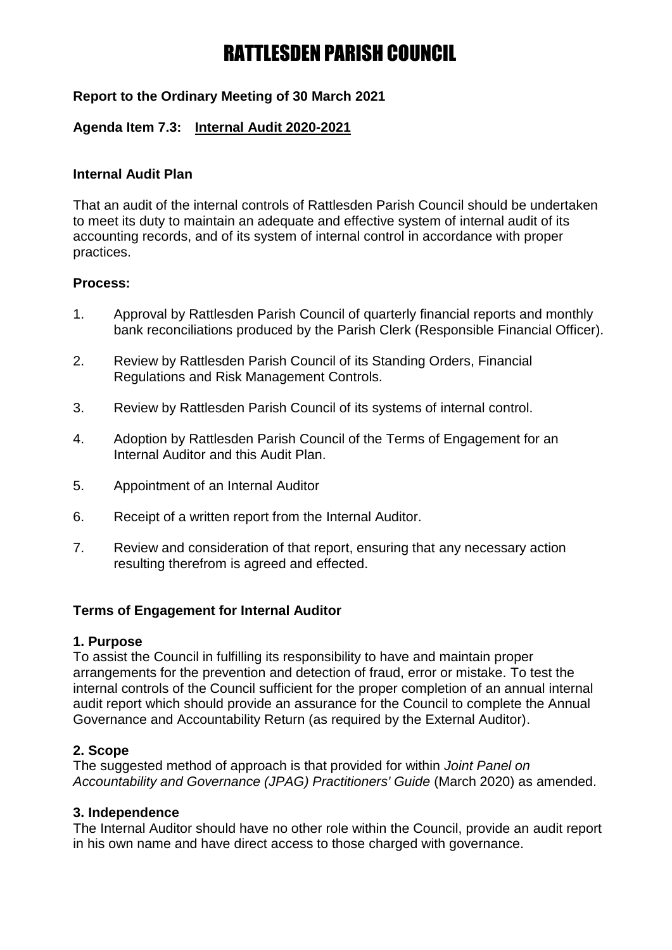## **Report to the Ordinary Meeting of 30 March 2021**

## **Agenda Item 7.3: Internal Audit 2020-2021**

#### **Internal Audit Plan**

That an audit of the internal controls of Rattlesden Parish Council should be undertaken to meet its duty to maintain an adequate and effective system of internal audit of its accounting records, and of its system of internal control in accordance with proper practices.

#### **Process:**

- 1. Approval by Rattlesden Parish Council of quarterly financial reports and monthly bank reconciliations produced by the Parish Clerk (Responsible Financial Officer).
- 2. Review by Rattlesden Parish Council of its Standing Orders, Financial Regulations and Risk Management Controls.
- 3. Review by Rattlesden Parish Council of its systems of internal control.
- 4. Adoption by Rattlesden Parish Council of the Terms of Engagement for an Internal Auditor and this Audit Plan.
- 5. Appointment of an Internal Auditor
- 6. Receipt of a written report from the Internal Auditor.
- 7. Review and consideration of that report, ensuring that any necessary action resulting therefrom is agreed and effected.

### **Terms of Engagement for Internal Auditor**

#### **1. Purpose**

To assist the Council in fulfilling its responsibility to have and maintain proper arrangements for the prevention and detection of fraud, error or mistake. To test the internal controls of the Council sufficient for the proper completion of an annual internal audit report which should provide an assurance for the Council to complete the Annual Governance and Accountability Return (as required by the External Auditor).

### **2. Scope**

The suggested method of approach is that provided for within *Joint Panel on Accountability and Governance (JPAG) Practitioners' Guide* (March 2020) as amended.

#### **3. Independence**

The Internal Auditor should have no other role within the Council, provide an audit report in his own name and have direct access to those charged with governance.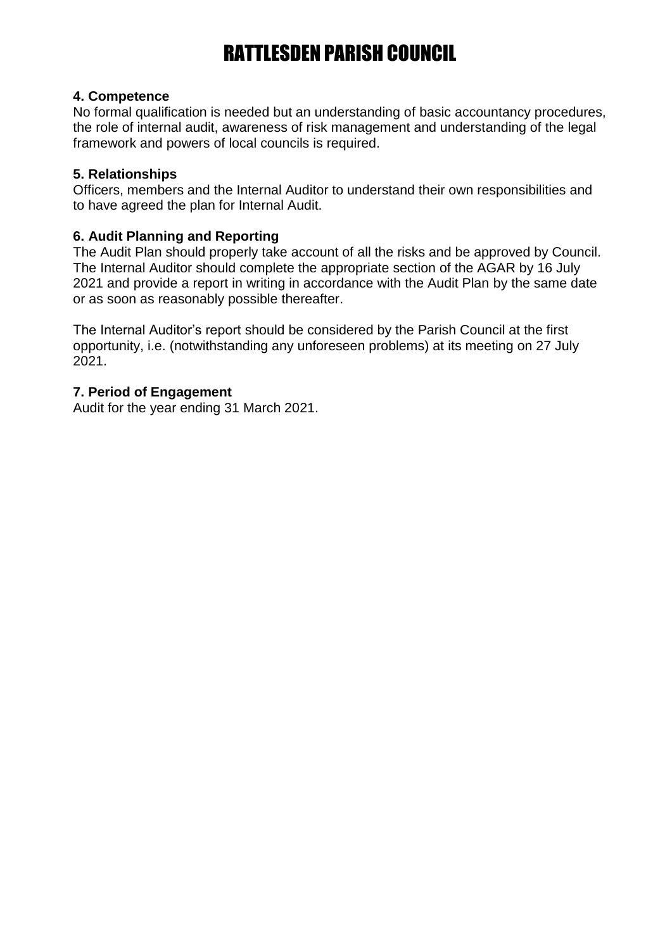### **4. Competence**

No formal qualification is needed but an understanding of basic accountancy procedures, the role of internal audit, awareness of risk management and understanding of the legal framework and powers of local councils is required.

### **5. Relationships**

Officers, members and the Internal Auditor to understand their own responsibilities and to have agreed the plan for Internal Audit.

## **6. Audit Planning and Reporting**

The Audit Plan should properly take account of all the risks and be approved by Council. The Internal Auditor should complete the appropriate section of the AGAR by 16 July 2021 and provide a report in writing in accordance with the Audit Plan by the same date or as soon as reasonably possible thereafter.

The Internal Auditor's report should be considered by the Parish Council at the first opportunity, i.e. (notwithstanding any unforeseen problems) at its meeting on 27 July 2021.

### **7. Period of Engagement**

Audit for the year ending 31 March 2021.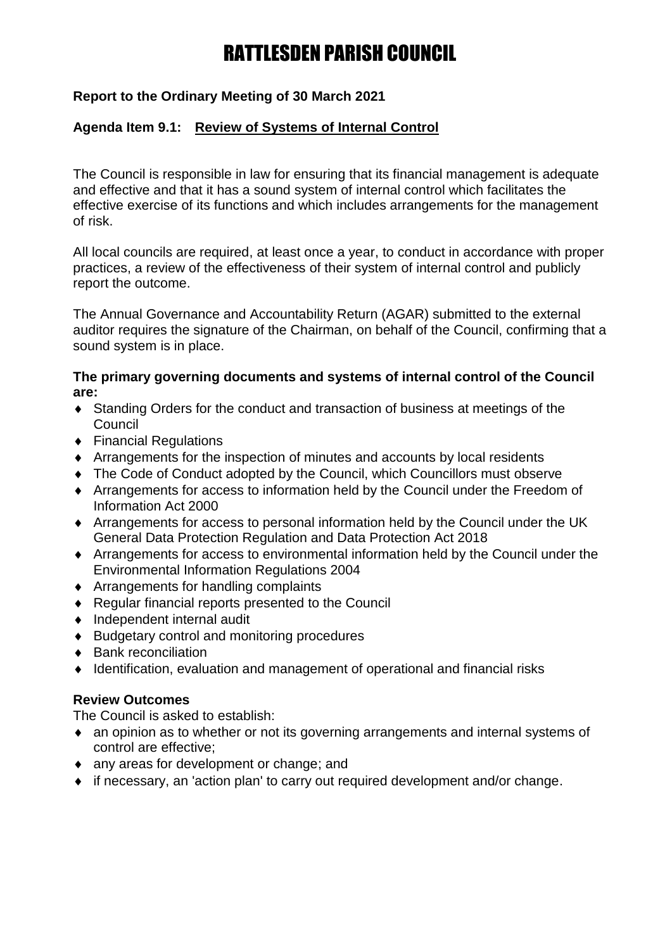## **Report to the Ordinary Meeting of 30 March 2021**

## **Agenda Item 9.1: Review of Systems of Internal Control**

The Council is responsible in law for ensuring that its financial management is adequate and effective and that it has a sound system of internal control which facilitates the effective exercise of its functions and which includes arrangements for the management of risk.

All local councils are required, at least once a year, to conduct in accordance with proper practices, a review of the effectiveness of their system of internal control and publicly report the outcome.

The Annual Governance and Accountability Return (AGAR) submitted to the external auditor requires the signature of the Chairman, on behalf of the Council, confirming that a sound system is in place.

### **The primary governing documents and systems of internal control of the Council are:**

- Standing Orders for the conduct and transaction of business at meetings of the **Council**
- Financial Regulations
- Arrangements for the inspection of minutes and accounts by local residents
- The Code of Conduct adopted by the Council, which Councillors must observe
- Arrangements for access to information held by the Council under the Freedom of Information Act 2000
- Arrangements for access to personal information held by the Council under the UK General Data Protection Regulation and Data Protection Act 2018
- Arrangements for access to environmental information held by the Council under the Environmental Information Regulations 2004
- Arrangements for handling complaints
- ◆ Regular financial reports presented to the Council
- Independent internal audit
- ◆ Budgetary control and monitoring procedures
- ◆ Bank reconciliation
- Identification, evaluation and management of operational and financial risks

### **Review Outcomes**

The Council is asked to establish:

- an opinion as to whether or not its governing arrangements and internal systems of control are effective;
- any areas for development or change; and
- if necessary, an 'action plan' to carry out required development and/or change.